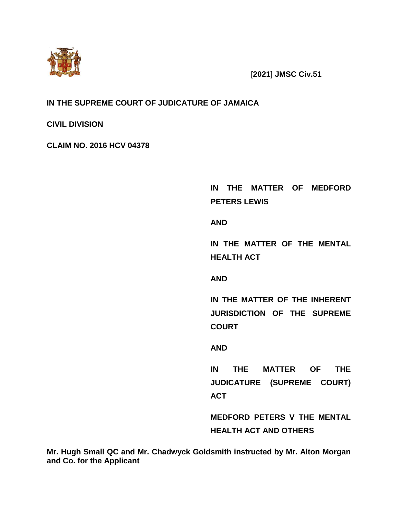

[**2021**] **JMSC Civ.51**

## **IN THE SUPREME COURT OF JUDICATURE OF JAMAICA**

**CIVIL DIVISION**

**CLAIM NO. 2016 HCV 04378**

**IN THE MATTER OF MEDFORD PETERS LEWIS**

**AND**

**IN THE MATTER OF THE MENTAL HEALTH ACT**

**AND** 

**IN THE MATTER OF THE INHERENT JURISDICTION OF THE SUPREME COURT** 

**AND**

**IN THE MATTER OF THE JUDICATURE (SUPREME COURT) ACT**

**MEDFORD PETERS V THE MENTAL HEALTH ACT AND OTHERS**

**Mr. Hugh Small QC and Mr. Chadwyck Goldsmith instructed by Mr. Alton Morgan and Co. for the Applicant**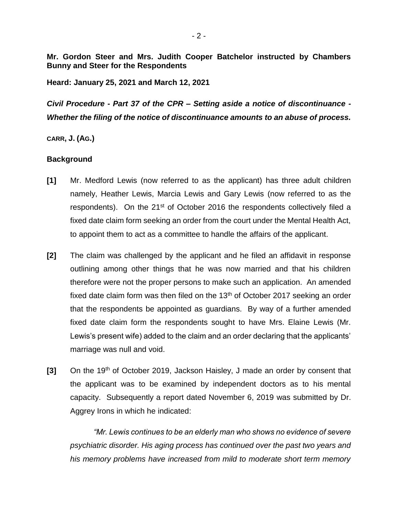**Mr. Gordon Steer and Mrs. Judith Cooper Batchelor instructed by Chambers Bunny and Steer for the Respondents**

**Heard: January 25, 2021 and March 12, 2021**

*Civil Procedure - Part 37 of the CPR – Setting aside a notice of discontinuance - Whether the filing of the notice of discontinuance amounts to an abuse of process.*

**CARR, J. (AG.)**

### **Background**

- **[1]** Mr. Medford Lewis (now referred to as the applicant) has three adult children namely, Heather Lewis, Marcia Lewis and Gary Lewis (now referred to as the respondents). On the 21<sup>st</sup> of October 2016 the respondents collectively filed a fixed date claim form seeking an order from the court under the Mental Health Act, to appoint them to act as a committee to handle the affairs of the applicant.
- **[2]** The claim was challenged by the applicant and he filed an affidavit in response outlining among other things that he was now married and that his children therefore were not the proper persons to make such an application. An amended fixed date claim form was then filed on the  $13<sup>th</sup>$  of October 2017 seeking an order that the respondents be appointed as guardians. By way of a further amended fixed date claim form the respondents sought to have Mrs. Elaine Lewis (Mr. Lewis's present wife) added to the claim and an order declaring that the applicants' marriage was null and void.
- **[3]** On the 19th of October 2019, Jackson Haisley, J made an order by consent that the applicant was to be examined by independent doctors as to his mental capacity. Subsequently a report dated November 6, 2019 was submitted by Dr. Aggrey Irons in which he indicated:

*"Mr. Lewis continues to be an elderly man who shows no evidence of severe psychiatric disorder. His aging process has continued over the past two years and his memory problems have increased from mild to moderate short term memory*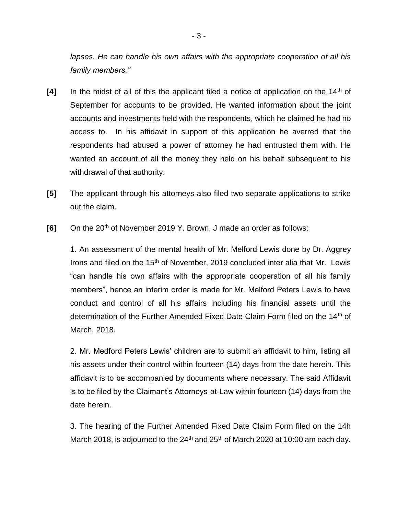*lapses. He can handle his own affairs with the appropriate cooperation of all his family members."* 

- [4] In the midst of all of this the applicant filed a notice of application on the 14<sup>th</sup> of September for accounts to be provided. He wanted information about the joint accounts and investments held with the respondents, which he claimed he had no access to. In his affidavit in support of this application he averred that the respondents had abused a power of attorney he had entrusted them with. He wanted an account of all the money they held on his behalf subsequent to his withdrawal of that authority.
- **[5]** The applicant through his attorneys also filed two separate applications to strike out the claim.
- [6] On the 20<sup>th</sup> of November 2019 Y. Brown, J made an order as follows:

1. An assessment of the mental health of Mr. Melford Lewis done by Dr. Aggrey Irons and filed on the 15<sup>th</sup> of November, 2019 concluded inter alia that Mr. Lewis "can handle his own affairs with the appropriate cooperation of all his family members", hence an interim order is made for Mr. Melford Peters Lewis to have conduct and control of all his affairs including his financial assets until the determination of the Further Amended Fixed Date Claim Form filed on the 14<sup>th</sup> of March, 2018.

2. Mr. Medford Peters Lewis' children are to submit an affidavit to him, listing all his assets under their control within fourteen (14) days from the date herein. This affidavit is to be accompanied by documents where necessary. The said Affidavit is to be filed by the Claimant's Attorneys-at-Law within fourteen (14) days from the date herein.

3. The hearing of the Further Amended Fixed Date Claim Form filed on the 14h March 2018, is adjourned to the 24<sup>th</sup> and 25<sup>th</sup> of March 2020 at 10:00 am each day.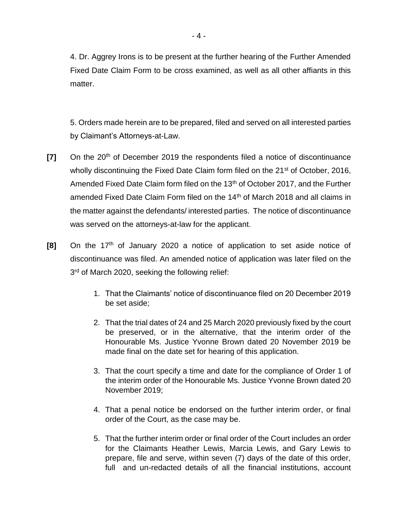4. Dr. Aggrey Irons is to be present at the further hearing of the Further Amended Fixed Date Claim Form to be cross examined, as well as all other affiants in this matter.

5. Orders made herein are to be prepared, filed and served on all interested parties by Claimant's Attorneys-at-Law.

- **[7]** On the 20<sup>th</sup> of December 2019 the respondents filed a notice of discontinuance wholly discontinuing the Fixed Date Claim form filed on the 21<sup>st</sup> of October, 2016, Amended Fixed Date Claim form filed on the 13<sup>th</sup> of October 2017, and the Further amended Fixed Date Claim Form filed on the 14<sup>th</sup> of March 2018 and all claims in the matter against the defendants/ interested parties. The notice of discontinuance was served on the attorneys-at-law for the applicant.
- **[8]** On the 17<sup>th</sup> of January 2020 a notice of application to set aside notice of discontinuance was filed. An amended notice of application was later filed on the 3<sup>rd</sup> of March 2020, seeking the following relief:
	- 1. That the Claimants' notice of discontinuance filed on 20 December 2019 be set aside;
	- 2. That the trial dates of 24 and 25 March 2020 previously fixed by the court be preserved, or in the alternative, that the interim order of the Honourable Ms. Justice Yvonne Brown dated 20 November 2019 be made final on the date set for hearing of this application.
	- 3. That the court specify a time and date for the compliance of Order 1 of the interim order of the Honourable Ms. Justice Yvonne Brown dated 20 November 2019;
	- 4. That a penal notice be endorsed on the further interim order, or final order of the Court, as the case may be.
	- 5. That the further interim order or final order of the Court includes an order for the Claimants Heather Lewis, Marcia Lewis, and Gary Lewis to prepare, file and serve, within seven (7) days of the date of this order, full and un-redacted details of all the financial institutions, account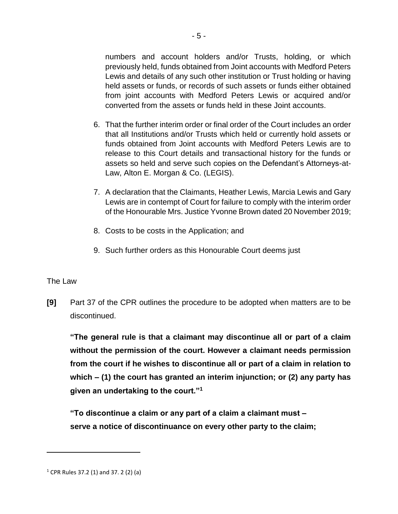numbers and account holders and/or Trusts, holding, or which previously held, funds obtained from Joint accounts with Medford Peters Lewis and details of any such other institution or Trust holding or having held assets or funds, or records of such assets or funds either obtained from joint accounts with Medford Peters Lewis or acquired and/or converted from the assets or funds held in these Joint accounts.

- 6. That the further interim order or final order of the Court includes an order that all Institutions and/or Trusts which held or currently hold assets or funds obtained from Joint accounts with Medford Peters Lewis are to release to this Court details and transactional history for the funds or assets so held and serve such copies on the Defendant's Attorneys-at-Law, Alton E. Morgan & Co. (LEGIS).
- 7. A declaration that the Claimants, Heather Lewis, Marcia Lewis and Gary Lewis are in contempt of Court for failure to comply with the interim order of the Honourable Mrs. Justice Yvonne Brown dated 20 November 2019;
- 8. Costs to be costs in the Application; and
- 9. Such further orders as this Honourable Court deems just

### The Law

 $\overline{a}$ 

**[9]** Part 37 of the CPR outlines the procedure to be adopted when matters are to be discontinued.

**"The general rule is that a claimant may discontinue all or part of a claim without the permission of the court. However a claimant needs permission from the court if he wishes to discontinue all or part of a claim in relation to which – (1) the court has granted an interim injunction; or (2) any party has given an undertaking to the court."<sup>1</sup>**

**"To discontinue a claim or any part of a claim a claimant must – serve a notice of discontinuance on every other party to the claim;**

 $1$  CPR Rules 37.2 (1) and 37. 2 (2) (a)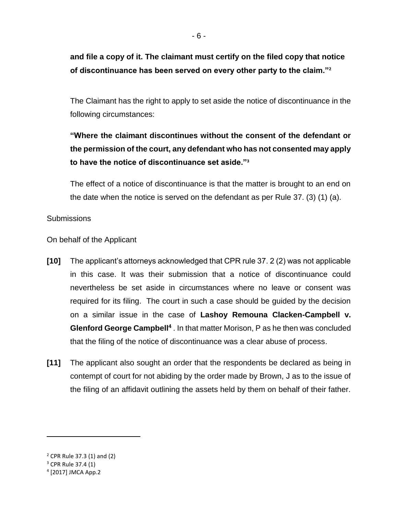**and file a copy of it. The claimant must certify on the filed copy that notice of discontinuance has been served on every other party to the claim."<sup>2</sup>**

The Claimant has the right to apply to set aside the notice of discontinuance in the following circumstances:

# **"Where the claimant discontinues without the consent of the defendant or the permission of the court, any defendant who has not consented may apply to have the notice of discontinuance set aside."<sup>3</sup>**

The effect of a notice of discontinuance is that the matter is brought to an end on the date when the notice is served on the defendant as per Rule 37. (3) (1) (a).

Submissions

On behalf of the Applicant

- **[10]** The applicant's attorneys acknowledged that CPR rule 37. 2 (2) was not applicable in this case. It was their submission that a notice of discontinuance could nevertheless be set aside in circumstances where no leave or consent was required for its filing. The court in such a case should be guided by the decision on a similar issue in the case of **Lashoy Remouna Clacken-Campbell v. Glenford George Campbell<sup>4</sup>** . In that matter Morison, P as he then was concluded that the filing of the notice of discontinuance was a clear abuse of process.
- **[11]** The applicant also sought an order that the respondents be declared as being in contempt of court for not abiding by the order made by Brown, J as to the issue of the filing of an affidavit outlining the assets held by them on behalf of their father.

<sup>2</sup> CPR Rule 37.3 (1) and (2)

<sup>3</sup> CPR Rule 37.4 (1)

<sup>4</sup> [2017] JMCA App.2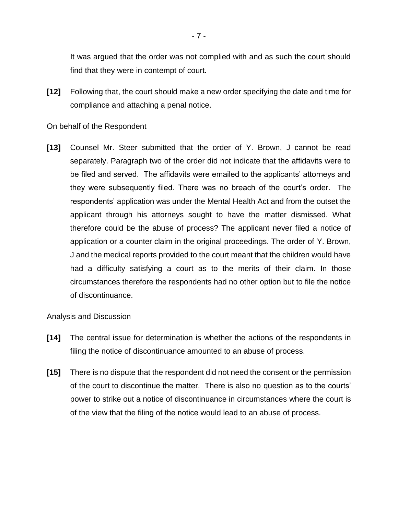It was argued that the order was not complied with and as such the court should find that they were in contempt of court.

**[12]** Following that, the court should make a new order specifying the date and time for compliance and attaching a penal notice.

On behalf of the Respondent

**[13]** Counsel Mr. Steer submitted that the order of Y. Brown, J cannot be read separately. Paragraph two of the order did not indicate that the affidavits were to be filed and served. The affidavits were emailed to the applicants' attorneys and they were subsequently filed. There was no breach of the court's order. The respondents' application was under the Mental Health Act and from the outset the applicant through his attorneys sought to have the matter dismissed. What therefore could be the abuse of process? The applicant never filed a notice of application or a counter claim in the original proceedings. The order of Y. Brown, J and the medical reports provided to the court meant that the children would have had a difficulty satisfying a court as to the merits of their claim. In those circumstances therefore the respondents had no other option but to file the notice of discontinuance.

Analysis and Discussion

- **[14]** The central issue for determination is whether the actions of the respondents in filing the notice of discontinuance amounted to an abuse of process.
- **[15]** There is no dispute that the respondent did not need the consent or the permission of the court to discontinue the matter. There is also no question as to the courts' power to strike out a notice of discontinuance in circumstances where the court is of the view that the filing of the notice would lead to an abuse of process.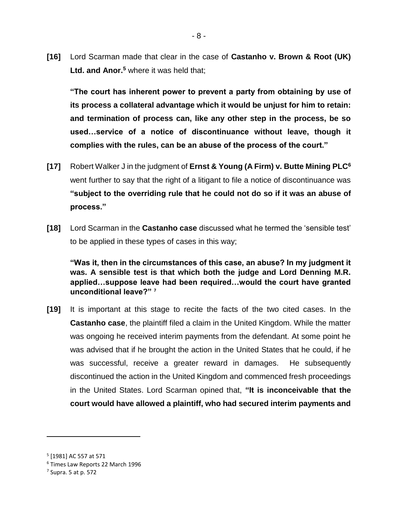**[16]** Lord Scarman made that clear in the case of **Castanho v. Brown & Root (UK) Ltd. and Anor.<sup>5</sup>** where it was held that;

**"The court has inherent power to prevent a party from obtaining by use of its process a collateral advantage which it would be unjust for him to retain: and termination of process can, like any other step in the process, be so used…service of a notice of discontinuance without leave, though it complies with the rules, can be an abuse of the process of the court."**

- **[17]** Robert Walker J in the judgment of **Ernst & Young (A Firm) v. Butte Mining PLC<sup>6</sup>** went further to say that the right of a litigant to file a notice of discontinuance was **"subject to the overriding rule that he could not do so if it was an abuse of process."**
- **[18]** Lord Scarman in the **Castanho case** discussed what he termed the 'sensible test' to be applied in these types of cases in this way;

**"Was it, then in the circumstances of this case, an abuse? In my judgment it was. A sensible test is that which both the judge and Lord Denning M.R. applied…suppose leave had been required…would the court have granted unconditional leave?" <sup>7</sup>**

**[19]** It is important at this stage to recite the facts of the two cited cases. In the **Castanho case**, the plaintiff filed a claim in the United Kingdom. While the matter was ongoing he received interim payments from the defendant. At some point he was advised that if he brought the action in the United States that he could, if he was successful, receive a greater reward in damages. He subsequently discontinued the action in the United Kingdom and commenced fresh proceedings in the United States. Lord Scarman opined that, **"It is inconceivable that the court would have allowed a plaintiff, who had secured interim payments and** 

<sup>5</sup> [1981] AC 557 at 571

<sup>6</sup> Times Law Reports 22 March 1996

<sup>7</sup> Supra. 5 at p. 572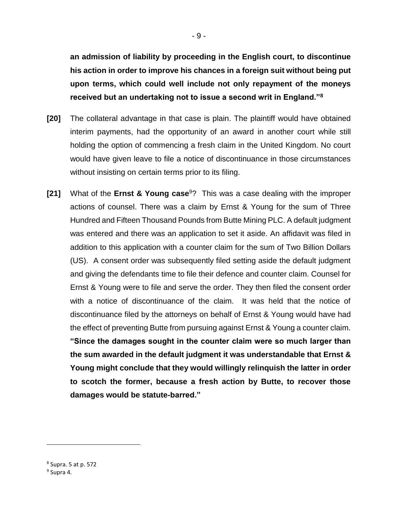**an admission of liability by proceeding in the English court, to discontinue his action in order to improve his chances in a foreign suit without being put upon terms, which could well include not only repayment of the moneys received but an undertaking not to issue a second writ in England."<sup>8</sup>**

- **[20]** The collateral advantage in that case is plain. The plaintiff would have obtained interim payments, had the opportunity of an award in another court while still holding the option of commencing a fresh claim in the United Kingdom. No court would have given leave to file a notice of discontinuance in those circumstances without insisting on certain terms prior to its filing.
- **[21]** What of the **Ernst & Young case**<sup>9</sup>? This was a case dealing with the improper actions of counsel. There was a claim by Ernst & Young for the sum of Three Hundred and Fifteen Thousand Pounds from Butte Mining PLC. A default judgment was entered and there was an application to set it aside. An affidavit was filed in addition to this application with a counter claim for the sum of Two Billion Dollars (US). A consent order was subsequently filed setting aside the default judgment and giving the defendants time to file their defence and counter claim. Counsel for Ernst & Young were to file and serve the order. They then filed the consent order with a notice of discontinuance of the claim. It was held that the notice of discontinuance filed by the attorneys on behalf of Ernst & Young would have had the effect of preventing Butte from pursuing against Ernst & Young a counter claim. **"Since the damages sought in the counter claim were so much larger than the sum awarded in the default judgment it was understandable that Ernst & Young might conclude that they would willingly relinquish the latter in order to scotch the former, because a fresh action by Butte, to recover those damages would be statute-barred."**

<sup>8</sup> Supra. 5 at p. 572

<sup>&</sup>lt;sup>9</sup> Supra 4.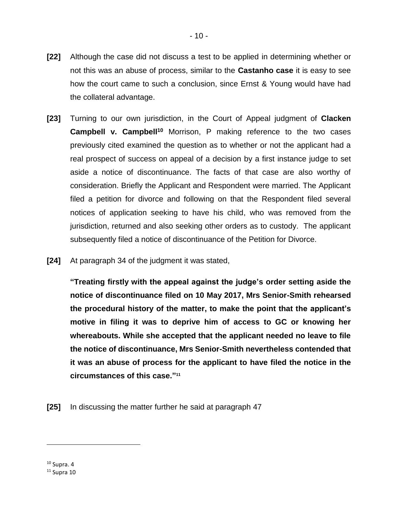- **[22]** Although the case did not discuss a test to be applied in determining whether or not this was an abuse of process, similar to the **Castanho case** it is easy to see how the court came to such a conclusion, since Ernst & Young would have had the collateral advantage.
- **[23]** Turning to our own jurisdiction, in the Court of Appeal judgment of **Clacken Campbell v. Campbell<sup>10</sup>** Morrison, P making reference to the two cases previously cited examined the question as to whether or not the applicant had a real prospect of success on appeal of a decision by a first instance judge to set aside a notice of discontinuance. The facts of that case are also worthy of consideration. Briefly the Applicant and Respondent were married. The Applicant filed a petition for divorce and following on that the Respondent filed several notices of application seeking to have his child, who was removed from the jurisdiction, returned and also seeking other orders as to custody. The applicant subsequently filed a notice of discontinuance of the Petition for Divorce.
- **[24]** At paragraph 34 of the judgment it was stated,

**"Treating firstly with the appeal against the judge's order setting aside the notice of discontinuance filed on 10 May 2017, Mrs Senior-Smith rehearsed the procedural history of the matter, to make the point that the applicant's motive in filing it was to deprive him of access to GC or knowing her whereabouts. While she accepted that the applicant needed no leave to file the notice of discontinuance, Mrs Senior-Smith nevertheless contended that it was an abuse of process for the applicant to have filed the notice in the circumstances of this case." 11**

**[25]** In discussing the matter further he said at paragraph 47

 $10$  Supra. 4

 $11$  Supra 10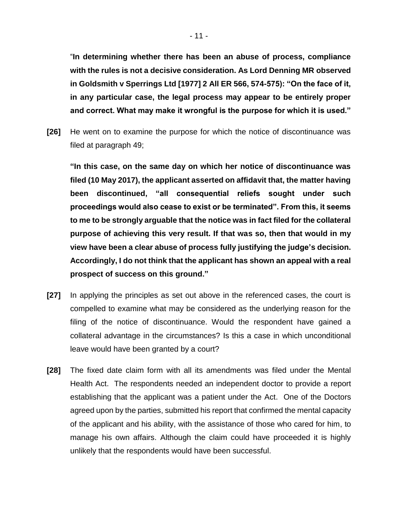"**In determining whether there has been an abuse of process, compliance with the rules is not a decisive consideration. As Lord Denning MR observed in Goldsmith v Sperrings Ltd [1977] 2 All ER 566, 574-575): "On the face of it, in any particular case, the legal process may appear to be entirely proper and correct. What may make it wrongful is the purpose for which it is used."**

**[26]** He went on to examine the purpose for which the notice of discontinuance was filed at paragraph 49;

**"In this case, on the same day on which her notice of discontinuance was filed (10 May 2017), the applicant asserted on affidavit that, the matter having been discontinued, "all consequential reliefs sought under such proceedings would also cease to exist or be terminated". From this, it seems to me to be strongly arguable that the notice was in fact filed for the collateral purpose of achieving this very result. If that was so, then that would in my view have been a clear abuse of process fully justifying the judge's decision. Accordingly, I do not think that the applicant has shown an appeal with a real prospect of success on this ground."**

- **[27]** In applying the principles as set out above in the referenced cases, the court is compelled to examine what may be considered as the underlying reason for the filing of the notice of discontinuance. Would the respondent have gained a collateral advantage in the circumstances? Is this a case in which unconditional leave would have been granted by a court?
- **[28]** The fixed date claim form with all its amendments was filed under the Mental Health Act. The respondents needed an independent doctor to provide a report establishing that the applicant was a patient under the Act. One of the Doctors agreed upon by the parties, submitted his report that confirmed the mental capacity of the applicant and his ability, with the assistance of those who cared for him, to manage his own affairs. Although the claim could have proceeded it is highly unlikely that the respondents would have been successful.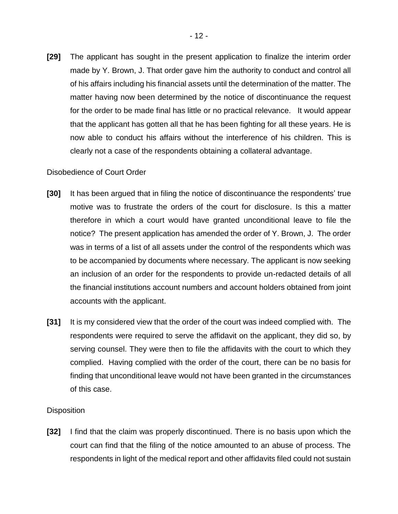**[29]** The applicant has sought in the present application to finalize the interim order made by Y. Brown, J. That order gave him the authority to conduct and control all of his affairs including his financial assets until the determination of the matter. The matter having now been determined by the notice of discontinuance the request for the order to be made final has little or no practical relevance. It would appear that the applicant has gotten all that he has been fighting for all these years. He is now able to conduct his affairs without the interference of his children. This is clearly not a case of the respondents obtaining a collateral advantage.

#### Disobedience of Court Order

- **[30]** It has been argued that in filing the notice of discontinuance the respondents' true motive was to frustrate the orders of the court for disclosure. Is this a matter therefore in which a court would have granted unconditional leave to file the notice? The present application has amended the order of Y. Brown, J. The order was in terms of a list of all assets under the control of the respondents which was to be accompanied by documents where necessary. The applicant is now seeking an inclusion of an order for the respondents to provide un-redacted details of all the financial institutions account numbers and account holders obtained from joint accounts with the applicant.
- **[31]** It is my considered view that the order of the court was indeed complied with. The respondents were required to serve the affidavit on the applicant, they did so, by serving counsel. They were then to file the affidavits with the court to which they complied. Having complied with the order of the court, there can be no basis for finding that unconditional leave would not have been granted in the circumstances of this case.

### **Disposition**

**[32]** I find that the claim was properly discontinued. There is no basis upon which the court can find that the filing of the notice amounted to an abuse of process. The respondents in light of the medical report and other affidavits filed could not sustain